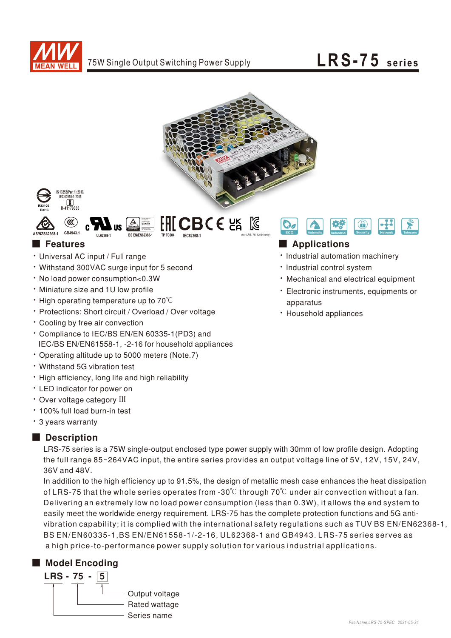







- Universal AC input / Full range
- Withstand 300VAC surge input for 5 second
- No load power consumption<0.3W
- Miniature size and 1U low profile
- High operating temperature up to  $70^{\circ}$ C
- Protections: Short circuit / Overload / Over voltage
- Cooling by free air convection
- Compliance to IEC/BS EN/EN 60335-1(PD3) and IEC/BS EN/EN61558-1, -2-16 for household appliances
- Operating altitude up to 5000 meters (Note.7)
- Withstand 5G vibration test
- . High efficiency, long life and high reliability
- LED indicator for power on
- Over voltage category III
- 100% full load burn-in test
- 3 years warranty

## ■ Description

LRS-75 series is a 75W single-output enclosed type power supply with 30mm of low profile design. Adopting the full range 85~264VAC input, the entire series provides an output voltage line of 5V, 12V, 15V, 24V, 36V and 48V.

easily meet the worldwide energy requirement. LRS-75 has the complete protection functions and 5G antivibration capability; it is complied with the international safety regulations such as TUV BS EN/EN62368-1, In addition to the high efficiency up to 91.5%, the design of metallic mesh case enhances the heat dissipation of LRS-75 that the whole series operates from -30°C through 70°C under air convection without a fan. Delivering an extremely low no load power consumption (less than 0.3W), it allows the end system to BS EN/EN60335-1, BS EN/EN61558-1/-2-16, UL62368-1 and GB4943. LRS-75 series serves as a high price-to-performance power supply solution for various industrial applications.

## ■ Model Encoding





# ■ Features ■ Particular and Particular and Particular and Particular and Particular and Particular and Particular and Particular and Particular and Particular and Particular and Particular and Particular and Particular an

- · Industrial automation machinery
- · Industrial control system
- Mechanical and electrical equipment
- · Electronic instruments, equipments or apparatus
- Household appliances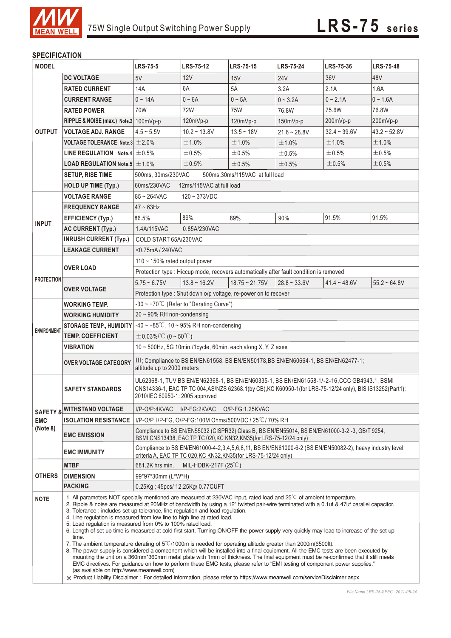

## **SPECIFICATION**

| <b>MODEL</b>       |                                                                                                                                                                                                                                                                                                                                                                                                                                                                                                                                                                                                                                                                                                                                                                                          | <b>LRS-75-5</b>                                                                                                                                                                                         | <b>LRS-75-12</b>  | LRS-75-15                                                       | <b>LRS-75-24</b> | LRS-75-36      | <b>LRS-75-48</b> |  |  |
|--------------------|------------------------------------------------------------------------------------------------------------------------------------------------------------------------------------------------------------------------------------------------------------------------------------------------------------------------------------------------------------------------------------------------------------------------------------------------------------------------------------------------------------------------------------------------------------------------------------------------------------------------------------------------------------------------------------------------------------------------------------------------------------------------------------------|---------------------------------------------------------------------------------------------------------------------------------------------------------------------------------------------------------|-------------------|-----------------------------------------------------------------|------------------|----------------|------------------|--|--|
|                    | <b>DC VOLTAGE</b>                                                                                                                                                                                                                                                                                                                                                                                                                                                                                                                                                                                                                                                                                                                                                                        | 5V                                                                                                                                                                                                      | 12V               | 15V                                                             | <b>24V</b>       | 36V            | 48V              |  |  |
|                    | <b>RATED CURRENT</b>                                                                                                                                                                                                                                                                                                                                                                                                                                                                                                                                                                                                                                                                                                                                                                     | 14A                                                                                                                                                                                                     | 6A                | 5A                                                              | 3.2A             | 2.1A           | 1.6A             |  |  |
|                    | <b>CURRENT RANGE</b>                                                                                                                                                                                                                                                                                                                                                                                                                                                                                                                                                                                                                                                                                                                                                                     | $0 - 14A$                                                                                                                                                                                               | $0 - 6A$          | $0 \sim 5A$                                                     | $0 - 3.2A$       | $0 - 2.1A$     | $0 - 1.6A$       |  |  |
|                    | <b>RATED POWER</b>                                                                                                                                                                                                                                                                                                                                                                                                                                                                                                                                                                                                                                                                                                                                                                       | 70W                                                                                                                                                                                                     | 72W               | 75W                                                             | 76.8W            | 75.6W          | 76.8W            |  |  |
|                    | RIPPLE & NOISE (max.) Note.2 100mVp-p                                                                                                                                                                                                                                                                                                                                                                                                                                                                                                                                                                                                                                                                                                                                                    |                                                                                                                                                                                                         | 120mVp-p          | 120mVp-p                                                        | 150mVp-p         | 200mVp-p       | 200mVp-p         |  |  |
| <b>OUTPUT</b>      | <b>VOLTAGE ADJ. RANGE</b>                                                                                                                                                                                                                                                                                                                                                                                                                                                                                                                                                                                                                                                                                                                                                                | $4.5 - 5.5V$                                                                                                                                                                                            | $10.2 - 13.8V$    | $13.5 - 18V$                                                    | $21.6 - 28.8V$   | $32.4 - 39.6V$ | $43.2 - 52.8V$   |  |  |
|                    | <b>VOLTAGE TOLERANCE Note.3</b> $\pm 2.0\%$                                                                                                                                                                                                                                                                                                                                                                                                                                                                                                                                                                                                                                                                                                                                              |                                                                                                                                                                                                         | ±1.0%             | $±1.0\%$                                                        | ±1.0%            | ±1.0%          | ±1.0%            |  |  |
|                    | LINE REGULATION Note.4 $\pm$ 0.5%                                                                                                                                                                                                                                                                                                                                                                                                                                                                                                                                                                                                                                                                                                                                                        |                                                                                                                                                                                                         | ±0.5%             | ±0.5%                                                           | ±0.5%            | $\pm 0.5\%$    | ±0.5%            |  |  |
|                    | <b>LOAD REGULATION Note.5 <math>\pm</math> 1.0%</b>                                                                                                                                                                                                                                                                                                                                                                                                                                                                                                                                                                                                                                                                                                                                      |                                                                                                                                                                                                         | ±0.5%             | ±0.5%                                                           | ±0.5%            | ±0.5%          | ±0.5%            |  |  |
|                    | <b>SETUP, RISE TIME</b>                                                                                                                                                                                                                                                                                                                                                                                                                                                                                                                                                                                                                                                                                                                                                                  | 500ms, 30ms/230VAC<br>500ms, 30ms/115VAC at full load                                                                                                                                                   |                   |                                                                 |                  |                |                  |  |  |
|                    | <b>HOLD UP TIME (Typ.)</b>                                                                                                                                                                                                                                                                                                                                                                                                                                                                                                                                                                                                                                                                                                                                                               | 60ms/230VAC<br>12ms/115VAC at full load                                                                                                                                                                 |                   |                                                                 |                  |                |                  |  |  |
|                    | <b>VOLTAGE RANGE</b>                                                                                                                                                                                                                                                                                                                                                                                                                                                                                                                                                                                                                                                                                                                                                                     | 85~264VAC<br>$120 - 373$ VDC                                                                                                                                                                            |                   |                                                                 |                  |                |                  |  |  |
|                    | <b>FREQUENCY RANGE</b>                                                                                                                                                                                                                                                                                                                                                                                                                                                                                                                                                                                                                                                                                                                                                                   | $47 \sim 63$ Hz                                                                                                                                                                                         |                   |                                                                 |                  |                |                  |  |  |
|                    | <b>EFFICIENCY (Typ.)</b>                                                                                                                                                                                                                                                                                                                                                                                                                                                                                                                                                                                                                                                                                                                                                                 | 86.5%                                                                                                                                                                                                   | 89%               | 89%                                                             | 90%              | 91.5%          | 91.5%            |  |  |
| <b>INPUT</b>       | <b>AC CURRENT (Typ.)</b>                                                                                                                                                                                                                                                                                                                                                                                                                                                                                                                                                                                                                                                                                                                                                                 | 1.4A/115VAC<br>0.85A/230VAC                                                                                                                                                                             |                   |                                                                 |                  |                |                  |  |  |
|                    | <b>INRUSH CURRENT (Typ.)</b>                                                                                                                                                                                                                                                                                                                                                                                                                                                                                                                                                                                                                                                                                                                                                             | COLD START 65A/230VAC                                                                                                                                                                                   |                   |                                                                 |                  |                |                  |  |  |
|                    | <b>LEAKAGE CURRENT</b>                                                                                                                                                                                                                                                                                                                                                                                                                                                                                                                                                                                                                                                                                                                                                                   | <0.75mA/240VAC                                                                                                                                                                                          |                   |                                                                 |                  |                |                  |  |  |
|                    | <b>OVER LOAD</b>                                                                                                                                                                                                                                                                                                                                                                                                                                                                                                                                                                                                                                                                                                                                                                         | 110 $\sim$ 150% rated output power                                                                                                                                                                      |                   |                                                                 |                  |                |                  |  |  |
|                    |                                                                                                                                                                                                                                                                                                                                                                                                                                                                                                                                                                                                                                                                                                                                                                                          | Protection type : Hiccup mode, recovers automatically after fault condition is removed                                                                                                                  |                   |                                                                 |                  |                |                  |  |  |
| <b>PROTECTION</b>  | <b>OVER VOLTAGE</b>                                                                                                                                                                                                                                                                                                                                                                                                                                                                                                                                                                                                                                                                                                                                                                      | $5.75 - 6.75V$                                                                                                                                                                                          | $13.8 \sim 16.2V$ | $18.75 \approx 21.75V$                                          | $28.8 - 33.6V$   | $41.4 - 48.6V$ | $55.2 - 64.8V$   |  |  |
|                    |                                                                                                                                                                                                                                                                                                                                                                                                                                                                                                                                                                                                                                                                                                                                                                                          |                                                                                                                                                                                                         |                   | Protection type : Shut down o/p voltage, re-power on to recover |                  |                |                  |  |  |
|                    | WORKING TEMP.                                                                                                                                                                                                                                                                                                                                                                                                                                                                                                                                                                                                                                                                                                                                                                            | $-30 \sim +70^{\circ}$ (Refer to "Derating Curve")                                                                                                                                                      |                   |                                                                 |                  |                |                  |  |  |
|                    | <b>WORKING HUMIDITY</b>                                                                                                                                                                                                                                                                                                                                                                                                                                                                                                                                                                                                                                                                                                                                                                  | $20 \sim 90\%$ RH non-condensing                                                                                                                                                                        |                   |                                                                 |                  |                |                  |  |  |
|                    | <b>STORAGE TEMP., HUMIDITY</b>                                                                                                                                                                                                                                                                                                                                                                                                                                                                                                                                                                                                                                                                                                                                                           | -40 ~ +85°C, 10 ~ 95% RH non-condensing                                                                                                                                                                 |                   |                                                                 |                  |                |                  |  |  |
| <b>ENVIRONMENT</b> | <b>TEMP. COEFFICIENT</b>                                                                                                                                                                                                                                                                                                                                                                                                                                                                                                                                                                                                                                                                                                                                                                 | $\pm$ 0.03%/°C (0 ~ 50°C)                                                                                                                                                                               |                   |                                                                 |                  |                |                  |  |  |
|                    | <b>VIBRATION</b>                                                                                                                                                                                                                                                                                                                                                                                                                                                                                                                                                                                                                                                                                                                                                                         | $10 \sim 500$ Hz, 5G 10min./1cycle, 60min. each along X, Y, Z axes                                                                                                                                      |                   |                                                                 |                  |                |                  |  |  |
|                    | <b>OVER VOLTAGE CATEGORY</b>                                                                                                                                                                                                                                                                                                                                                                                                                                                                                                                                                                                                                                                                                                                                                             | III; Compliance to BS EN/EN61558, BS EN/EN50178, BS EN/EN60664-1, BS EN/EN62477-1;<br>altitude up to 2000 meters                                                                                        |                   |                                                                 |                  |                |                  |  |  |
|                    | <b>SAFETY STANDARDS</b>                                                                                                                                                                                                                                                                                                                                                                                                                                                                                                                                                                                                                                                                                                                                                                  | UL62368-1, TUV BS EN/EN62368-1, BS EN/EN60335-1, BS EN/EN61558-1/-2-16, CCC GB4943.1, BSMI<br>CNS14336-1, EAC TP TC 004, AS/NZS 62368.1(by CB), KC K60950-1(for LRS-75-12/24 only), BIS IS13252(Part1): |                   |                                                                 |                  |                |                  |  |  |
|                    | <b>SAFETY &amp; WITHSTAND VOLTAGE</b>                                                                                                                                                                                                                                                                                                                                                                                                                                                                                                                                                                                                                                                                                                                                                    | I/P-O/P:4KVAC<br>I/P-FG:2KVAC O/P-FG:1.25KVAC                                                                                                                                                           |                   |                                                                 |                  |                |                  |  |  |
| <b>EMC</b>         | <b>ISOLATION RESISTANCE</b>                                                                                                                                                                                                                                                                                                                                                                                                                                                                                                                                                                                                                                                                                                                                                              | I/P-O/P, I/P-FG, O/P-FG:100M Ohms/500VDC / 25°C/70% RH                                                                                                                                                  |                   |                                                                 |                  |                |                  |  |  |
| (Note 8)           | <b>EMC EMISSION</b>                                                                                                                                                                                                                                                                                                                                                                                                                                                                                                                                                                                                                                                                                                                                                                      | Compliance to BS EN/EN55032 (CISPR32) Class B, BS EN/EN55014, BS EN/EN61000-3-2,-3, GB/T 9254,<br>BSMI CNS13438, EAC TP TC 020, KC KN32, KN35 (for LRS-75-12/24 only)                                   |                   |                                                                 |                  |                |                  |  |  |
|                    | <b>EMC IMMUNITY</b>                                                                                                                                                                                                                                                                                                                                                                                                                                                                                                                                                                                                                                                                                                                                                                      | Compliance to BS EN/EN61000-4-2,3,4,5,6,8,11, BS EN/EN61000-6-2 (BS EN/EN50082-2), heavy industry level,<br>criteria A, EAC TP TC 020, KC KN32, KN35 (for LRS-75-12/24 only)                            |                   |                                                                 |                  |                |                  |  |  |
|                    | <b>MTBF</b>                                                                                                                                                                                                                                                                                                                                                                                                                                                                                                                                                                                                                                                                                                                                                                              | MIL-HDBK-217F $(25^{\circ}C)$<br>681.2K hrs min.                                                                                                                                                        |                   |                                                                 |                  |                |                  |  |  |
| <b>OTHERS</b>      | <b>DIMENSION</b>                                                                                                                                                                                                                                                                                                                                                                                                                                                                                                                                                                                                                                                                                                                                                                         | 99*97*30mm (L*W*H)                                                                                                                                                                                      |                   |                                                                 |                  |                |                  |  |  |
|                    | <b>PACKING</b>                                                                                                                                                                                                                                                                                                                                                                                                                                                                                                                                                                                                                                                                                                                                                                           | 0.25Kg; 45pcs/ 12.25Kg/ 0.77CUFT                                                                                                                                                                        |                   |                                                                 |                  |                |                  |  |  |
| <b>NOTE</b>        | 1. All parameters NOT specially mentioned are measured at 230VAC input, rated load and 25 <sup>°C</sup> of ambient temperature.<br>2. Ripple & noise are measured at 20MHz of bandwidth by using a 12" twisted pair-wire terminated with a 0.1uf & 47uf parallel capacitor.<br>3. Tolerance : includes set up tolerance, line regulation and load regulation.<br>4. Line regulation is measured from low line to high line at rated load.<br>5. Load regulation is measured from 0% to 100% rated load.<br>6. Length of set up time is measured at cold first start. Turning ON/OFF the power supply very quickly may lead to increase of the set up<br>time.<br>7. The ambient temperature derating of $5^{\circ}$ C/1000m is needed for operating altitude greater than 2000m(6500ft). |                                                                                                                                                                                                         |                   |                                                                 |                  |                |                  |  |  |
|                    | 8. The power supply is considered a component which will be installed into a final equipment. All the EMC tests are been executed by<br>mounting the unit on a 360mm*360mm metal plate with 1mm of thickness. The final equipment must be re-confirmed that it still meets<br>EMC directives. For guidance on how to perform these EMC tests, please refer to "EMI testing of component power supplies."<br>(as available on http://www.meanwell.com)<br>※ Product Liability Disclaimer: For detailed information, please refer to https://www.meanwell.com/serviceDisclaimer.aspx                                                                                                                                                                                                       |                                                                                                                                                                                                         |                   |                                                                 |                  |                |                  |  |  |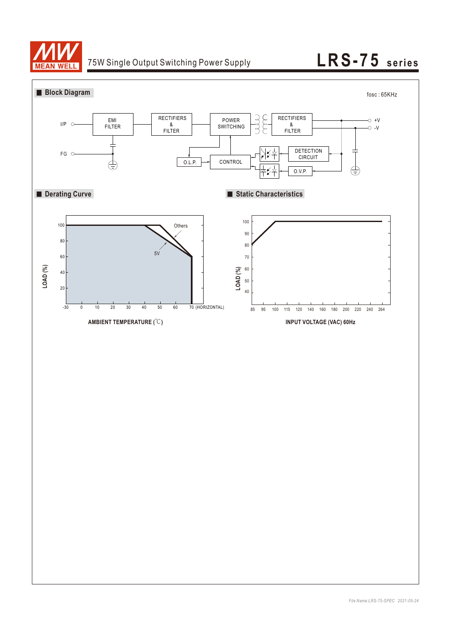